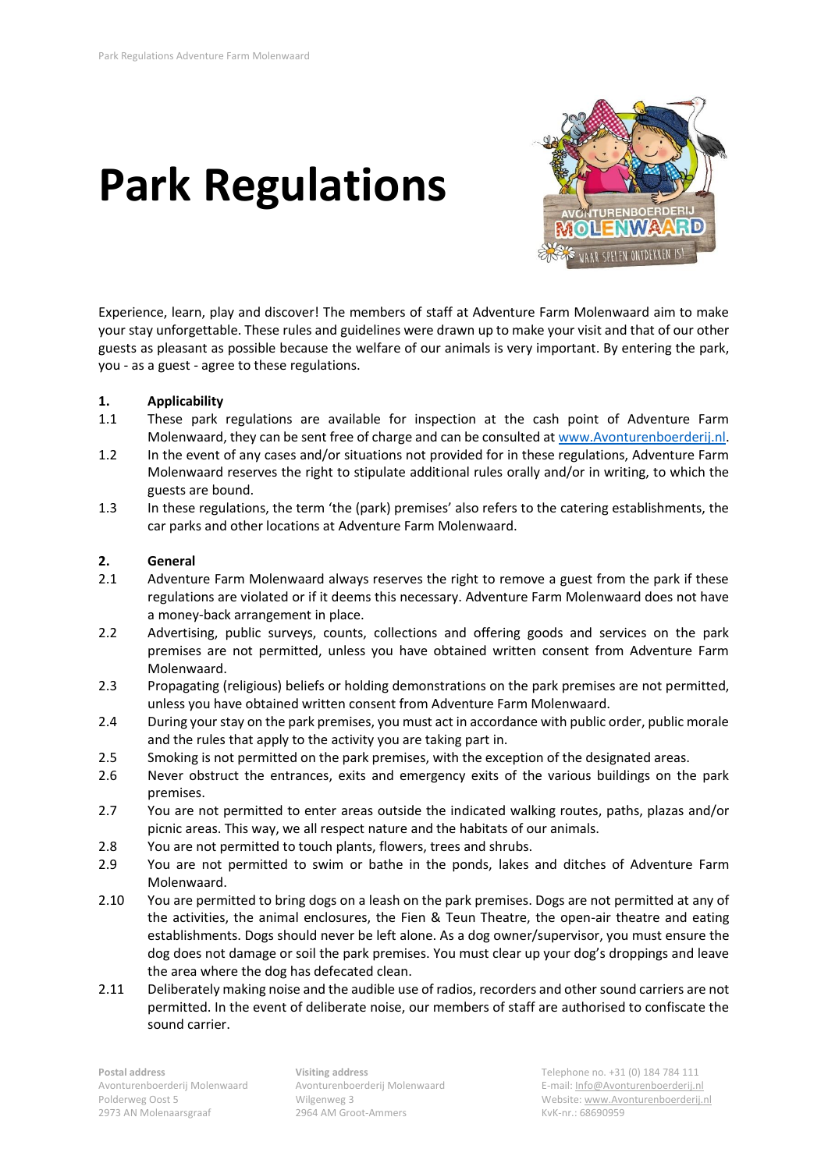# **Park Regulations**



Experience, learn, play and discover! The members of staff at Adventure Farm Molenwaard aim to make your stay unforgettable. These rules and guidelines were drawn up to make your visit and that of our other guests as pleasant as possible because the welfare of our animals is very important. By entering the park, you - as a guest - agree to these regulations.

# **1. Applicability**

- 1.1 These park regulations are available for inspection at the cash point of Adventure Farm Molenwaard, they can be sent free of charge and can be consulted a[t www.Avonturenboerderij.nl.](http://www.avonturenboerderij.nl/)
- 1.2 In the event of any cases and/or situations not provided for in these regulations, Adventure Farm Molenwaard reserves the right to stipulate additional rules orally and/or in writing, to which the guests are bound.
- 1.3 In these regulations, the term 'the (park) premises' also refers to the catering establishments, the car parks and other locations at Adventure Farm Molenwaard.

# **2. General**

- 2.1 Adventure Farm Molenwaard always reserves the right to remove a guest from the park if these regulations are violated or if it deems this necessary. Adventure Farm Molenwaard does not have a money-back arrangement in place.
- 2.2 Advertising, public surveys, counts, collections and offering goods and services on the park premises are not permitted, unless you have obtained written consent from Adventure Farm Molenwaard.
- 2.3 Propagating (religious) beliefs or holding demonstrations on the park premises are not permitted, unless you have obtained written consent from Adventure Farm Molenwaard.
- 2.4 During your stay on the park premises, you must act in accordance with public order, public morale and the rules that apply to the activity you are taking part in.
- 2.5 Smoking is not permitted on the park premises, with the exception of the designated areas.
- 2.6 Never obstruct the entrances, exits and emergency exits of the various buildings on the park premises.
- 2.7 You are not permitted to enter areas outside the indicated walking routes, paths, plazas and/or picnic areas. This way, we all respect nature and the habitats of our animals.
- 2.8 You are not permitted to touch plants, flowers, trees and shrubs.
- 2.9 You are not permitted to swim or bathe in the ponds, lakes and ditches of Adventure Farm Molenwaard.
- 2.10 You are permitted to bring dogs on a leash on the park premises. Dogs are not permitted at any of the activities, the animal enclosures, the Fien & Teun Theatre, the open-air theatre and eating establishments. Dogs should never be left alone. As a dog owner/supervisor, you must ensure the dog does not damage or soil the park premises. You must clear up your dog's droppings and leave the area where the dog has defecated clean.
- 2.11 Deliberately making noise and the audible use of radios, recorders and other sound carriers are not permitted. In the event of deliberate noise, our members of staff are authorised to confiscate the sound carrier.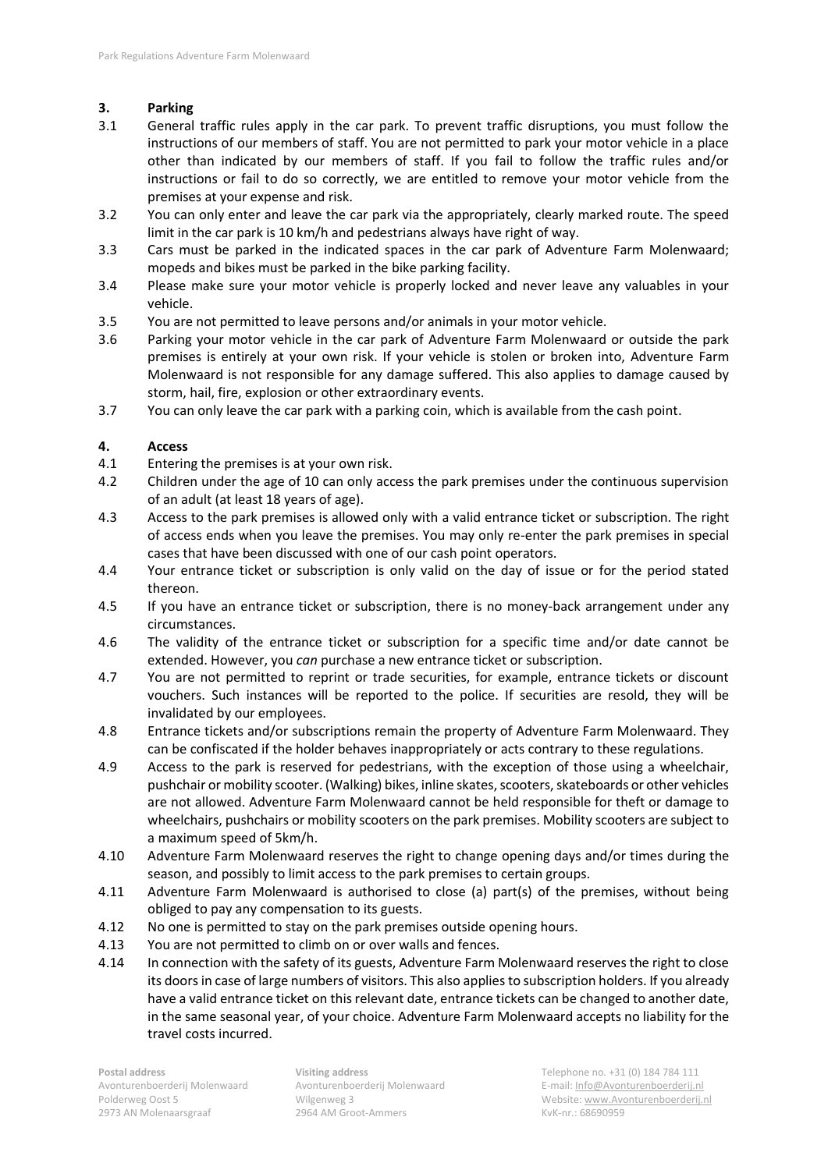# **3. Parking**

- 3.1 General traffic rules apply in the car park. To prevent traffic disruptions, you must follow the instructions of our members of staff. You are not permitted to park your motor vehicle in a place other than indicated by our members of staff. If you fail to follow the traffic rules and/or instructions or fail to do so correctly, we are entitled to remove your motor vehicle from the premises at your expense and risk.
- 3.2 You can only enter and leave the car park via the appropriately, clearly marked route. The speed limit in the car park is 10 km/h and pedestrians always have right of way.
- 3.3 Cars must be parked in the indicated spaces in the car park of Adventure Farm Molenwaard; mopeds and bikes must be parked in the bike parking facility.
- 3.4 Please make sure your motor vehicle is properly locked and never leave any valuables in your vehicle.
- 3.5 You are not permitted to leave persons and/or animals in your motor vehicle.
- 3.6 Parking your motor vehicle in the car park of Adventure Farm Molenwaard or outside the park premises is entirely at your own risk. If your vehicle is stolen or broken into, Adventure Farm Molenwaard is not responsible for any damage suffered. This also applies to damage caused by storm, hail, fire, explosion or other extraordinary events.
- 3.7 You can only leave the car park with a parking coin, which is available from the cash point.

# **4. Access**

- 4.1 Entering the premises is at your own risk.
- 4.2 Children under the age of 10 can only access the park premises under the continuous supervision of an adult (at least 18 years of age).
- 4.3 Access to the park premises is allowed only with a valid entrance ticket or subscription. The right of access ends when you leave the premises. You may only re-enter the park premises in special cases that have been discussed with one of our cash point operators.
- 4.4 Your entrance ticket or subscription is only valid on the day of issue or for the period stated thereon.
- 4.5 If you have an entrance ticket or subscription, there is no money-back arrangement under any circumstances.
- 4.6 The validity of the entrance ticket or subscription for a specific time and/or date cannot be extended. However, you *can* purchase a new entrance ticket or subscription.
- 4.7 You are not permitted to reprint or trade securities, for example, entrance tickets or discount vouchers. Such instances will be reported to the police. If securities are resold, they will be invalidated by our employees.
- 4.8 Entrance tickets and/or subscriptions remain the property of Adventure Farm Molenwaard. They can be confiscated if the holder behaves inappropriately or acts contrary to these regulations.
- 4.9 Access to the park is reserved for pedestrians, with the exception of those using a wheelchair, pushchair or mobility scooter. (Walking) bikes, inline skates, scooters, skateboards or other vehicles are not allowed. Adventure Farm Molenwaard cannot be held responsible for theft or damage to wheelchairs, pushchairs or mobility scooters on the park premises. Mobility scooters are subject to a maximum speed of 5km/h.
- 4.10 Adventure Farm Molenwaard reserves the right to change opening days and/or times during the season, and possibly to limit access to the park premises to certain groups.
- 4.11 Adventure Farm Molenwaard is authorised to close (a) part(s) of the premises, without being obliged to pay any compensation to its guests.
- 4.12 No one is permitted to stay on the park premises outside opening hours.
- 4.13 You are not permitted to climb on or over walls and fences.
- 4.14 In connection with the safety of its guests, Adventure Farm Molenwaard reserves the right to close its doors in case of large numbers of visitors. This also applies to subscription holders. If you already have a valid entrance ticket on this relevant date, entrance tickets can be changed to another date, in the same seasonal year, of your choice. Adventure Farm Molenwaard accepts no liability for the travel costs incurred.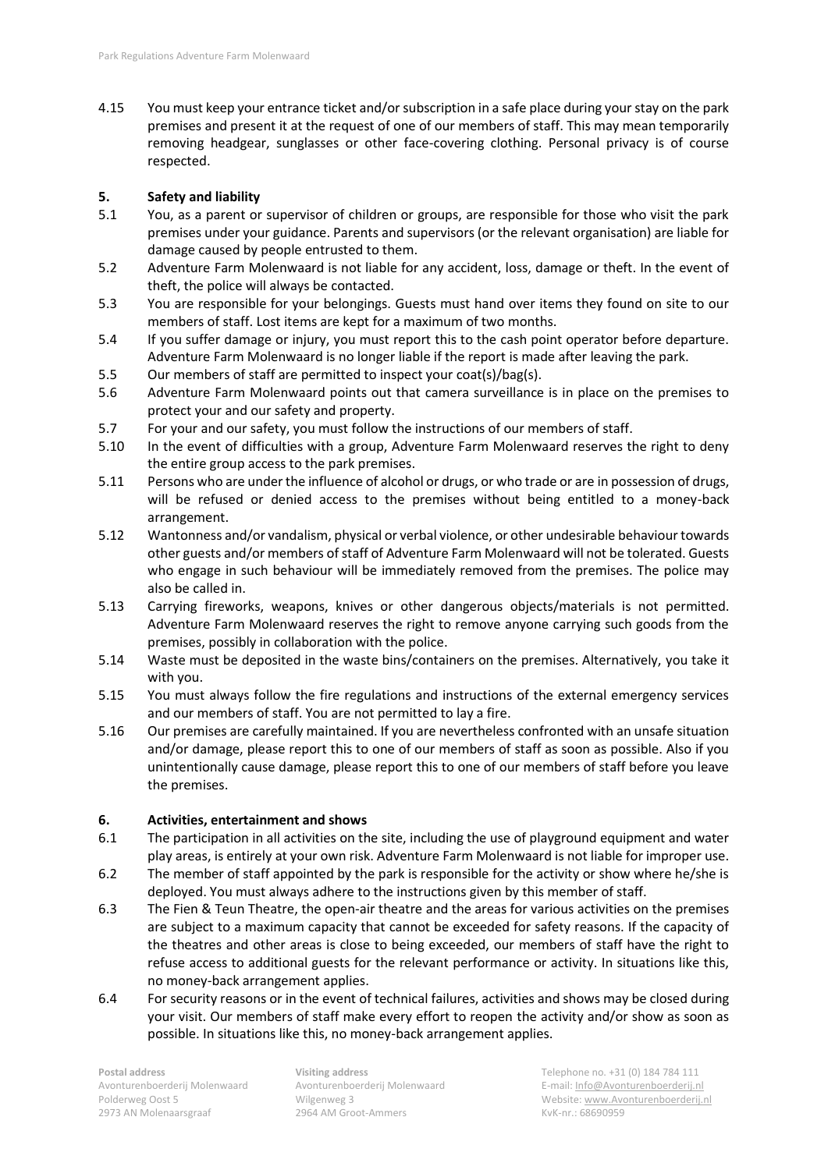4.15 You must keep your entrance ticket and/or subscription in a safe place during your stay on the park premises and present it at the request of one of our members of staff. This may mean temporarily removing headgear, sunglasses or other face-covering clothing. Personal privacy is of course respected.

# **5. Safety and liability**

- 5.1 You, as a parent or supervisor of children or groups, are responsible for those who visit the park premises under your guidance. Parents and supervisors (or the relevant organisation) are liable for damage caused by people entrusted to them.
- 5.2 Adventure Farm Molenwaard is not liable for any accident, loss, damage or theft. In the event of theft, the police will always be contacted.
- 5.3 You are responsible for your belongings. Guests must hand over items they found on site to our members of staff. Lost items are kept for a maximum of two months.
- 5.4 If you suffer damage or injury, you must report this to the cash point operator before departure. Adventure Farm Molenwaard is no longer liable if the report is made after leaving the park.
- 5.5 Our members of staff are permitted to inspect your coat(s)/bag(s).
- 5.6 Adventure Farm Molenwaard points out that camera surveillance is in place on the premises to protect your and our safety and property.
- 5.7 For your and our safety, you must follow the instructions of our members of staff.
- 5.10 In the event of difficulties with a group, Adventure Farm Molenwaard reserves the right to deny the entire group access to the park premises.
- 5.11 Persons who are under the influence of alcohol or drugs, or who trade or are in possession of drugs, will be refused or denied access to the premises without being entitled to a money-back arrangement.
- 5.12 Wantonness and/or vandalism, physical or verbal violence, or other undesirable behaviour towards other guests and/or members of staff of Adventure Farm Molenwaard will not be tolerated. Guests who engage in such behaviour will be immediately removed from the premises. The police may also be called in.
- 5.13 Carrying fireworks, weapons, knives or other dangerous objects/materials is not permitted. Adventure Farm Molenwaard reserves the right to remove anyone carrying such goods from the premises, possibly in collaboration with the police.
- 5.14 Waste must be deposited in the waste bins/containers on the premises. Alternatively, you take it with you.
- 5.15 You must always follow the fire regulations and instructions of the external emergency services and our members of staff. You are not permitted to lay a fire.
- 5.16 Our premises are carefully maintained. If you are nevertheless confronted with an unsafe situation and/or damage, please report this to one of our members of staff as soon as possible. Also if you unintentionally cause damage, please report this to one of our members of staff before you leave the premises.

# **6. Activities, entertainment and shows**

- 6.1 The participation in all activities on the site, including the use of playground equipment and water play areas, is entirely at your own risk. Adventure Farm Molenwaard is not liable for improper use.
- 6.2 The member of staff appointed by the park is responsible for the activity or show where he/she is deployed. You must always adhere to the instructions given by this member of staff.
- 6.3 The Fien & Teun Theatre, the open-air theatre and the areas for various activities on the premises are subject to a maximum capacity that cannot be exceeded for safety reasons. If the capacity of the theatres and other areas is close to being exceeded, our members of staff have the right to refuse access to additional guests for the relevant performance or activity. In situations like this, no money-back arrangement applies.
- 6.4 For security reasons or in the event of technical failures, activities and shows may be closed during your visit. Our members of staff make every effort to reopen the activity and/or show as soon as possible. In situations like this, no money-back arrangement applies.

2973 AN Molenaarsgraaf 2964 AM Groot-Ammers Channel Richard KvK-nr.: 68690959

**Postal address Visiting address** Telephone no. +31 (0) 184 784 111 Avonturenboerderij Molenwaard Avonturenboerderij Molenwaard E-mail[: Info@Avonturenboerderij.nl](mailto:Info@Avonturenboerderij.nl) Polderweg Oost 5 Wilgenweg 3 Website[: www.Avonturenboerderij.nl](http://www.avonturenboerderij.nl/)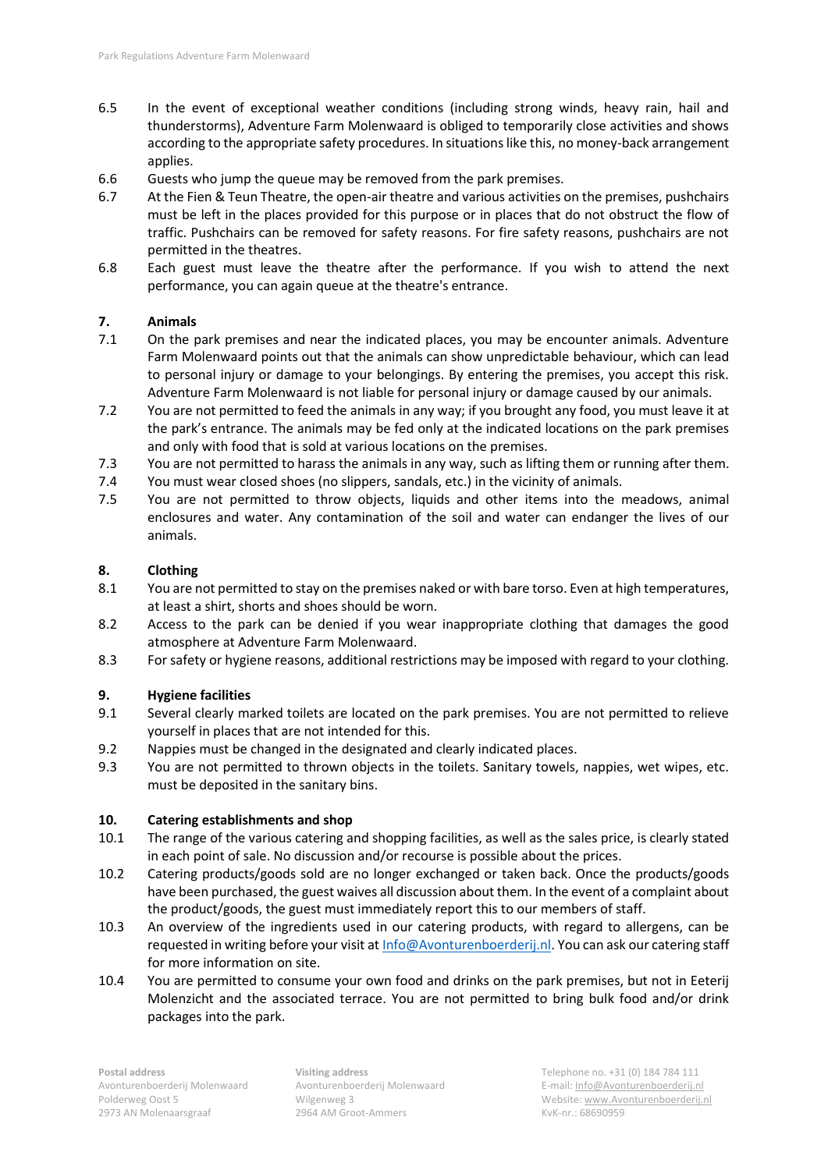- 6.5 In the event of exceptional weather conditions (including strong winds, heavy rain, hail and thunderstorms), Adventure Farm Molenwaard is obliged to temporarily close activities and shows according to the appropriate safety procedures. In situations like this, no money-back arrangement applies.
- 6.6 Guests who jump the queue may be removed from the park premises.
- 6.7 At the Fien & Teun Theatre, the open-air theatre and various activities on the premises, pushchairs must be left in the places provided for this purpose or in places that do not obstruct the flow of traffic. Pushchairs can be removed for safety reasons. For fire safety reasons, pushchairs are not permitted in the theatres.
- 6.8 Each guest must leave the theatre after the performance. If you wish to attend the next performance, you can again queue at the theatre's entrance.

# **7. Animals**

- 7.1 On the park premises and near the indicated places, you may be encounter animals. Adventure Farm Molenwaard points out that the animals can show unpredictable behaviour, which can lead to personal injury or damage to your belongings. By entering the premises, you accept this risk. Adventure Farm Molenwaard is not liable for personal injury or damage caused by our animals.
- 7.2 You are not permitted to feed the animals in any way; if you brought any food, you must leave it at the park's entrance. The animals may be fed only at the indicated locations on the park premises and only with food that is sold at various locations on the premises.
- 7.3 You are not permitted to harass the animals in any way, such as lifting them or running after them.
- 7.4 You must wear closed shoes (no slippers, sandals, etc.) in the vicinity of animals.
- 7.5 You are not permitted to throw objects, liquids and other items into the meadows, animal enclosures and water. Any contamination of the soil and water can endanger the lives of our animals.

# **8. Clothing**

- 8.1 You are not permitted to stay on the premises naked or with bare torso. Even at high temperatures, at least a shirt, shorts and shoes should be worn.
- 8.2 Access to the park can be denied if you wear inappropriate clothing that damages the good atmosphere at Adventure Farm Molenwaard.
- 8.3 For safety or hygiene reasons, additional restrictions may be imposed with regard to your clothing.

# **9. Hygiene facilities**

- 9.1 Several clearly marked toilets are located on the park premises. You are not permitted to relieve yourself in places that are not intended for this.
- 9.2 Nappies must be changed in the designated and clearly indicated places.
- 9.3 You are not permitted to thrown objects in the toilets. Sanitary towels, nappies, wet wipes, etc. must be deposited in the sanitary bins.

# **10. Catering establishments and shop**

- 10.1 The range of the various catering and shopping facilities, as well as the sales price, is clearly stated in each point of sale. No discussion and/or recourse is possible about the prices.
- 10.2 Catering products/goods sold are no longer exchanged or taken back. Once the products/goods have been purchased, the guest waives all discussion about them. In the event of a complaint about the product/goods, the guest must immediately report this to our members of staff.
- 10.3 An overview of the ingredients used in our catering products, with regard to allergens, can be requested in writing before your visit at [Info@Avonturenboerderij.nl.](mailto:Info@Avonturenboerderij.nl) You can ask our catering staff for more information on site.
- 10.4 You are permitted to consume your own food and drinks on the park premises, but not in Eeterij Molenzicht and the associated terrace. You are not permitted to bring bulk food and/or drink packages into the park.

**Postal address Visiting address** Telephone no. +31 (0) 184 784 111